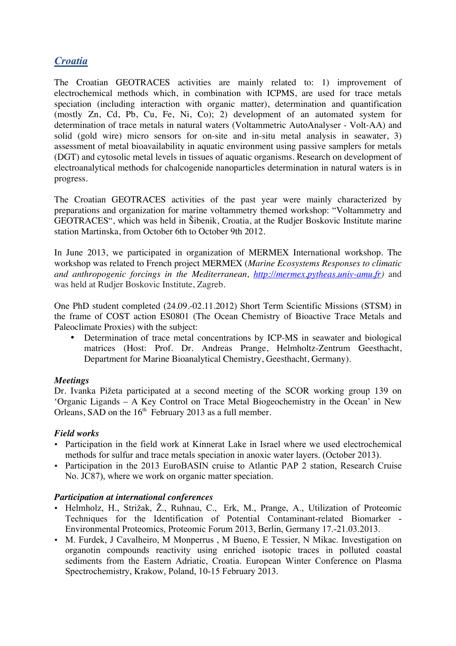# *Croatia*

The Croatian GEOTRACES activities are mainly related to: 1) improvement of electrochemical methods which, in combination with ICPMS, are used for trace metals speciation (including interaction with organic matter), determination and quantification (mostly Zn, Cd, Pb, Cu, Fe, Ni, Co); 2) development of an automated system for determination of trace metals in natural waters (Voltammetric AutoAnalyser - Volt-AA) and solid (gold wire) micro sensors for on-site and in-situ metal analysis in seawater, 3) assessment of metal bioavailability in aquatic environment using passive samplers for metals (DGT) and cytosolic metal levels in tissues of aquatic organisms. Research on development of electroanalytical methods for chalcogenide nanoparticles determination in natural waters is in progress.

The Croatian GEOTRACES activities of the past year were mainly characterized by preparations and organization for marine voltammetry themed workshop: "Voltammetry and GEOTRACES", which was held in Šibenik, Croatia, at the Rudjer Boskovic Institute marine station Martinska, from October 6th to October 9th 2012.

In June 2013, we participated in organization of MERMEX International workshop. The workshop was related to French project MERMEX (*Marine Ecosystems Responses to climatic and anthropogenic forcings in the Mediterranean, http://mermex.pytheas.univ-amu.fr)* and was held at Rudjer Boskovic Institute, Zagreb.

One PhD student completed (24.09.-02.11.2012) Short Term Scientific Missions (STSM) in the frame of COST action ES0801 (The Ocean Chemistry of Bioactive Trace Metals and Paleoclimate Proxies) with the subject:

• Determination of trace metal concentrations by ICP-MS in seawater and biological matrices (Host: Prof. Dr. Andreas Prange, Helmholtz-Zentrum Geesthacht, Department for Marine Bioanalytical Chemistry, Geesthacht, Germany).

### *Meetings*

Dr. Ivanka Pižeta participated at a second meeting of the SCOR working group 139 on 'Organic Ligands – A Key Control on Trace Metal Biogeochemistry in the Ocean' in New Orleans, SAD on the  $16<sup>th</sup>$  February 2013 as a full member.

### *Field works*

- Participation in the field work at Kinnerat Lake in Israel where we used electrochemical methods for sulfur and trace metals speciation in anoxic water layers. (October 2013).
- Participation in the 2013 EuroBASIN cruise to Atlantic PAP 2 station, Research Cruise No. JC87), where we work on organic matter speciation.

### *Participation at international conferences*

- Helmholz, H., Strižak, Ž., Ruhnau, C., Erk, M., Prange, A., Utilization of Proteomic Techniques for the Identification of Potential Contaminant-related Biomarker - Environmental Proteomics, Proteomic Forum 2013, Berlin, Germany 17.-21.03.2013.
- M. Furdek, J Cavalheiro, M Monperrus , M Bueno, E Tessier, N Mikac. Investigation on organotin compounds reactivity using enriched isotopic traces in polluted coastal sediments from the Eastern Adriatic, Croatia. European Winter Conference on Plasma Spectrochemistry, Krakow, Poland, 10-15 February 2013.